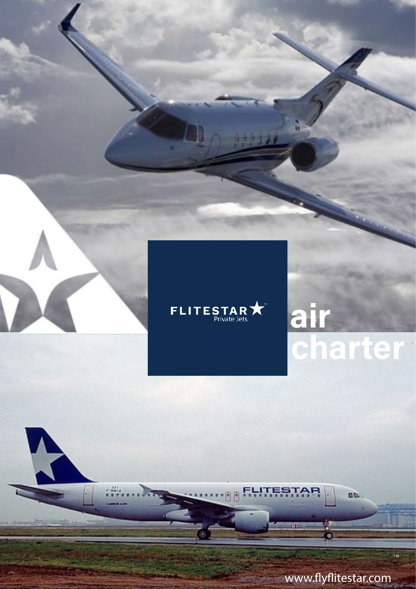

R

 $\frac{1}{2}$ 

# <u>air</u> charter

m

www.flyflitestar.com

60)

aa

FLITESTAR

**BIRK** 

T M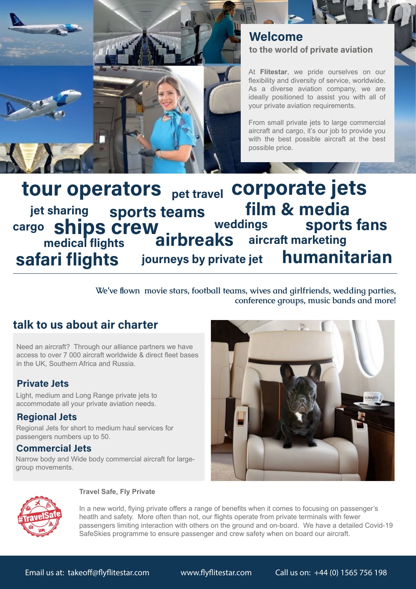

### to the world of private aviation Welcome

At **Flitestar**, we pride ourselves on our flexibility and diversity of service, worldwide. As a diverse aviation company, we are ideally positioned to assist you with all of your private aviation requirements.

From small private jets to large commercial aircraft and cargo, it's our job to provide you with the best possible aircraft at the best possible price.

#### tour operators <sub>pet travel</sub> corporate jets sports teams ships crew film & media weddings sports fans jet sharing airbreaks aircraft marketing cargo medical flights safari flights journeys by private jet humanitarian

 **We've flown movie stars, football teams, wives and girlfriends, wedding parties, conference groups, music bands and more!**

# talk to us about air charter

Need an aircraft? Through our alliance partners we have access to over 7 000 aircraft worldwide & direct fleet bases in the UK, Southern Africa and Russia.

#### Private Jets

Light, medium and Long Range private jets to accommodate all your private aviation needs.

#### Regional Jets

Regional Jets for short to medium haul services for passengers numbers up to 50.

#### Commercial Jets

Narrow body and Wide body commercial aircraft for largegroup movements.

![](_page_1_Picture_14.jpeg)

![](_page_1_Picture_15.jpeg)

#### **Travel Safe, Fly Private**

In a new world, flying private offers a range of benefits when it comes to focusing on passenger's heatlh and safety. More often than not, our flights operate from private terminals with fewer passengers limiting interaction with others on the ground and on-board. We have a detailed Covid-19 SafeSkies programme to ensure passenger and crew safety when on board our aircraft.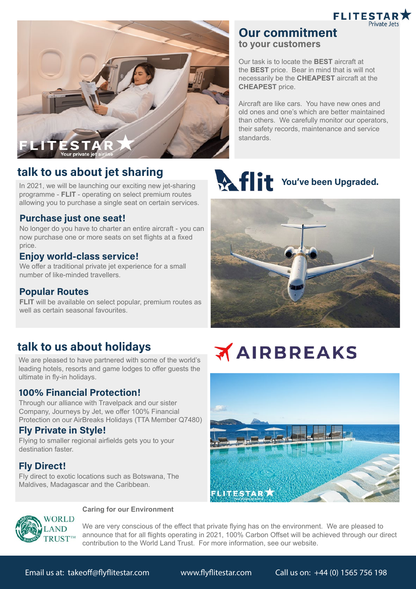![](_page_2_Picture_0.jpeg)

![](_page_2_Picture_1.jpeg)

# talk to us about jet sharing

In 2021, we will be launching our exciting new jet-sharing programme - **FLIT** - operating on select premium routes allowing you to purchase a single seat on certain services.

#### Purchase just one seat!

No longer do you have to charter an entire aircraft - you can now purchase one or more seats on set flights at a fixed price.

#### Enjoy world-class service!

We offer a traditional private jet experience for a small number of like-minded travellers.

#### Popular Routes

**FLIT** will be available on select popular, premium routes as well as certain seasonal favourites.

# talk to us about holidays

We are pleased to have partnered with some of the world's leading hotels, resorts and game lodges to offer guests the ultimate in fly-in holidays.

#### 100% Financial Protection!

Through our alliance with Travelpack and our sister Company, Journeys by Jet, we offer 100% Financial Protection on our AirBreaks Holidays (TTA Member Q7480)

#### Fly Private in Style!

Flying to smaller regional airfields gets you to your destination faster.

#### Fly Direct!

Fly direct to exotic locations such as Botswana, The Maldives, Madagascar and the Caribbean.

# to your customers Our task is to locate the **BEST** aircraft at

Our commitment

the **BEST** price. Bear in mind that is will not necessarily be the **CHEAPEST** aircraft at the **CHEAPEST** price.

Aircraft are like cars. You have new ones and old ones and one's which are better maintained than others. We carefully monitor our operators, their safety records, maintenance and service standards.

# **You've been Upgraded.**

![](_page_2_Picture_22.jpeg)

# **AIRBREAKS**

![](_page_2_Picture_24.jpeg)

![](_page_2_Picture_25.jpeg)

#### **Caring for our Environment**

We are very conscious of the effect that private flying has on the environment. We are pleased to announce that for all flights operating in 2021, 100% Carbon Offset will be achieved through our direct contribution to the World Land Trust. For more information, see our website.

Email us at: takeoff@flyflitestar.com www.flyflitestar.com Call us on: +44 (0) 1565 756 198